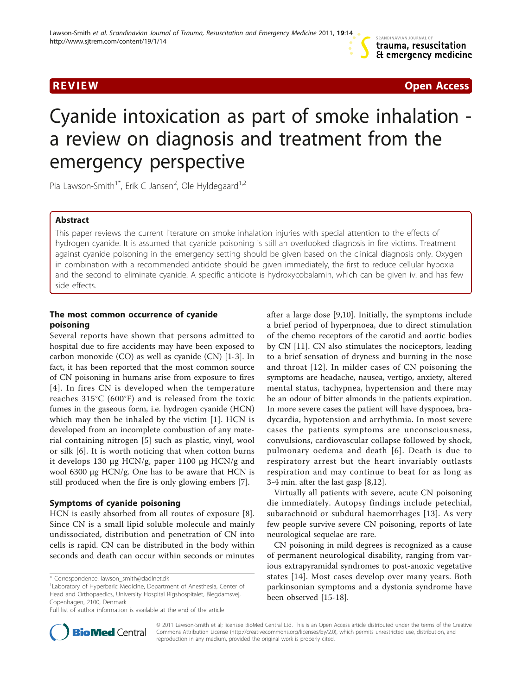

**REVIEW CONSTRUCTION CONSTRUCTS** IN A REVIEW COPEN ACCESS OPEN ACCESS OF A REVIEW OPEN ACCESS OF A REVIEW OPEN A

# Cyanide intoxication as part of smoke inhalation a review on diagnosis and treatment from the emergency perspective

Pia Lawson-Smith<sup>1\*</sup>, Erik C Jansen<sup>2</sup>, Ole Hyldegaard<sup>1,2</sup>

# Abstract

This paper reviews the current literature on smoke inhalation injuries with special attention to the effects of hydrogen cyanide. It is assumed that cyanide poisoning is still an overlooked diagnosis in fire victims. Treatment against cyanide poisoning in the emergency setting should be given based on the clinical diagnosis only. Oxygen in combination with a recommended antidote should be given immediately, the first to reduce cellular hypoxia and the second to eliminate cyanide. A specific antidote is hydroxycobalamin, which can be given iv. and has few side effects.

# The most common occurrence of cyanide poisoning

Several reports have shown that persons admitted to hospital due to fire accidents may have been exposed to carbon monoxide (CO) as well as cyanide (CN) [[1-3](#page-3-0)]. In fact, it has been reported that the most common source of CN poisoning in humans arise from exposure to fires [[4\]](#page-3-0). In fires CN is developed when the temperature reaches 315°C (600°F) and is released from the toxic fumes in the gaseous form, i.e. hydrogen cyanide (HCN) which may then be inhaled by the victim [\[1\]](#page-3-0). HCN is developed from an incomplete combustion of any material containing nitrogen [[5\]](#page-3-0) such as plastic, vinyl, wool or silk [\[6](#page-3-0)]. It is worth noticing that when cotton burns it develops 130 μg HCN/g, paper 1100 μg HCN/g and wool 6300 μg HCN/g. One has to be aware that HCN is still produced when the fire is only glowing embers [[7\]](#page-3-0).

# Symptoms of cyanide poisoning

HCN is easily absorbed from all routes of exposure [[8](#page-3-0)]. Since CN is a small lipid soluble molecule and mainly undissociated, distribution and penetration of CN into cells is rapid. CN can be distributed in the body within seconds and death can occur within seconds or minutes

\* Correspondence: [lawson\\_smith@dadlnet.dk](mailto:lawson_smith@dadlnet.dk)

after a large dose [\[9](#page-3-0),[10\]](#page-3-0). Initially, the symptoms include a brief period of hyperpnoea, due to direct stimulation of the chemo receptors of the carotid and aortic bodies by CN [\[11](#page-3-0)]. CN also stimulates the nociceptors, leading to a brief sensation of dryness and burning in the nose and throat [[12](#page-3-0)]. In milder cases of CN poisoning the symptoms are headache, nausea, vertigo, anxiety, altered mental status, tachypnea, hypertension and there may be an odour of bitter almonds in the patients expiration. In more severe cases the patient will have dyspnoea, bradycardia, hypotension and arrhythmia. In most severe cases the patients symptoms are unconsciousness, convulsions, cardiovascular collapse followed by shock, pulmonary oedema and death [[6\]](#page-3-0). Death is due to respiratory arrest but the heart invariably outlasts respiration and may continue to beat for as long as 3-4 min. after the last gasp [[8,12\]](#page-3-0).

Virtually all patients with severe, acute CN poisoning die immediately. Autopsy findings include petechial, subarachnoid or subdural haemorrhages [[13\]](#page-3-0). As very few people survive severe CN poisoning, reports of late neurological sequelae are rare.

CN poisoning in mild degrees is recognized as a cause of permanent neurological disability, ranging from various extrapyramidal syndromes to post-anoxic vegetative states [[14\]](#page-3-0). Most cases develop over many years. Both parkinsonian symptoms and a dystonia syndrome have been observed [[15](#page-3-0)-[18\]](#page-3-0).



© 2011 Lawson-Smith et al; licensee BioMed Central Ltd. This is an Open Access article distributed under the terms of the Creative Commons Attribution License [\(http://creativecommons.org/licenses/by/2.0](http://creativecommons.org/licenses/by/2.0)), which permits unrestricted use, distribution, and reproduction in any medium, provided the original work is properly cited.

<sup>&</sup>lt;sup>1</sup> Laboratory of Hyperbaric Medicine, Department of Anesthesia, Center of Head and Orthopaedics, University Hospital Rigshospitalet, Blegdamsvej, Copenhagen, 2100, Denmark

Full list of author information is available at the end of the article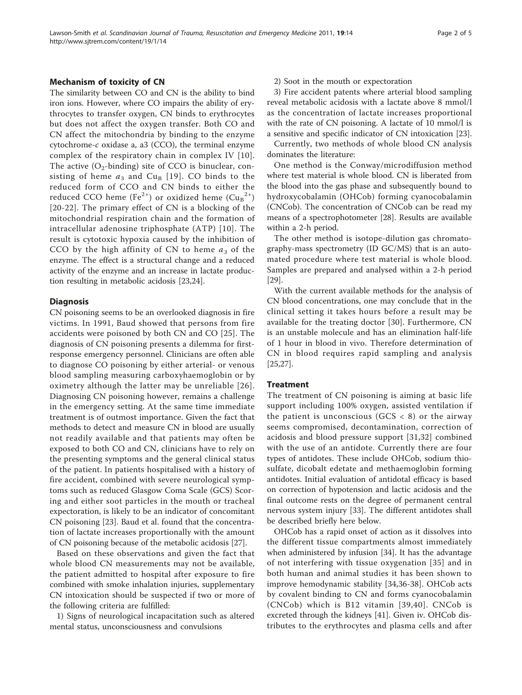Mechanism of toxicity of CN The similarity between CO and CN is the ability to bind iron ions. However, where CO impairs the ability of erythrocytes to transfer oxygen, CN binds to erythrocytes but does not affect the oxygen transfer. Both CO and CN affect the mitochondria by binding to the enzyme cytochrome-c oxidase a, a3 (CCO), the terminal enzyme complex of the respiratory chain in complex IV [[10\]](#page-3-0). The active  $(O_2{\text -}binding)$  site of CCO is binuclear, consisting of heme  $a_3$  and Cu<sub>B</sub> [[19\]](#page-3-0). CO binds to the reduced form of CCO and CN binds to either the reduced CCO heme (Fe $^{2+})$  or oxidized heme (Cu $_{\rm B}{}^{2+})$ [[20](#page-3-0)-[22](#page-3-0)]. The primary effect of CN is a blocking of the mitochondrial respiration chain and the formation of intracellular adenosine triphosphate (ATP) [[10](#page-3-0)]. The result is cytotoxic hypoxia caused by the inhibition of CCO by the high affinity of CN to heme  $a_3$  of the enzyme. The effect is a structural change and a reduced activity of the enzyme and an increase in lactate production resulting in metabolic acidosis [[23,24\]](#page-3-0).

#### **Diagnosis**

CN poisoning seems to be an overlooked diagnosis in fire victims. In 1991, Baud showed that persons from fire accidents were poisoned by both CN and CO [[25](#page-3-0)]. The diagnosis of CN poisoning presents a dilemma for firstresponse emergency personnel. Clinicians are often able to diagnose CO poisoning by either arterial- or venous blood sampling measuring carboxyhaemoglobin or by oximetry although the latter may be unreliable [[26\]](#page-3-0). Diagnosing CN poisoning however, remains a challenge in the emergency setting. At the same time immediate treatment is of outmost importance. Given the fact that methods to detect and measure CN in blood are usually not readily available and that patients may often be exposed to both CO and CN, clinicians have to rely on the presenting symptoms and the general clinical status of the patient. In patients hospitalised with a history of fire accident, combined with severe neurological symptoms such as reduced Glasgow Coma Scale (GCS) Scoring and either soot particles in the mouth or tracheal expectoration, is likely to be an indicator of concomitant CN poisoning [[23\]](#page-3-0). Baud et al. found that the concentration of lactate increases proportionally with the amount of CN poisoning because of the metabolic acidosis [[27\]](#page-3-0).

Based on these observations and given the fact that whole blood CN measurements may not be available, the patient admitted to hospital after exposure to fire combined with smoke inhalation injuries, supplementary CN intoxication should be suspected if two or more of the following criteria are fulfilled:

1) Signs of neurological incapacitation such as altered mental status, unconsciousness and convulsions

#### 2) Soot in the mouth or expectoration

3) Fire accident patents where arterial blood sampling reveal metabolic acidosis with a lactate above 8 mmol/l as the concentration of lactate increases proportional with the rate of CN poisoning. A lactate of 10 mmol/l is a sensitive and specific indicator of CN intoxication [[23](#page-3-0)].

Currently, two methods of whole blood CN analysis dominates the literature:

One method is the Conway/microdiffusion method where test material is whole blood. CN is liberated from the blood into the gas phase and subsequently bound to hydroxycobalamin (OHCob) forming cyanocobalamin (CNCob). The concentration of CNCob can be read my means of a spectrophotometer [\[28\]](#page-3-0). Results are available within a 2-h period.

The other method is isotope-dilution gas chromatography-mass spectrometry (ID GC/MS) that is an automated procedure where test material is whole blood. Samples are prepared and analysed within a 2-h period [[29\]](#page-3-0).

With the current available methods for the analysis of CN blood concentrations, one may conclude that in the clinical setting it takes hours before a result may be available for the treating doctor [\[30](#page-3-0)]. Furthermore, CN is an unstable molecule and has an elimination half-life of 1 hour in blood in vivo. Therefore determination of CN in blood requires rapid sampling and analysis [[25,27\]](#page-3-0).

#### **Treatment**

The treatment of CN poisoning is aiming at basic life support including 100% oxygen, assisted ventilation if the patient is unconscious (GCS  $\langle$  8) or the airway seems compromised, decontamination, correction of acidosis and blood pressure support [\[31](#page-3-0),[32](#page-3-0)] combined with the use of an antidote. Currently there are four types of antidotes. These include OHCob, sodium thiosulfate, dicobalt edetate and methaemoglobin forming antidotes. Initial evaluation of antidotal efficacy is based on correction of hypotension and lactic acidosis and the final outcome rests on the degree of permanent central nervous system injury [\[33](#page-3-0)]. The different antidotes shall be described briefly here below.

OHCob has a rapid onset of action as it dissolves into the different tissue compartments almost immediately when administered by infusion [[34](#page-3-0)]. It has the advantage of not interfering with tissue oxygenation [[35](#page-3-0)] and in both human and animal studies it has been shown to improve hemodynamic stability [\[34](#page-3-0),[36-38](#page-3-0)]. OHCob acts by covalent binding to CN and forms cyanocobalamin (CNCob) which is B12 vitamin [[39](#page-3-0),[40\]](#page-3-0). CNCob is excreted through the kidneys [[41](#page-3-0)]. Given iv. OHCob distributes to the erythrocytes and plasma cells and after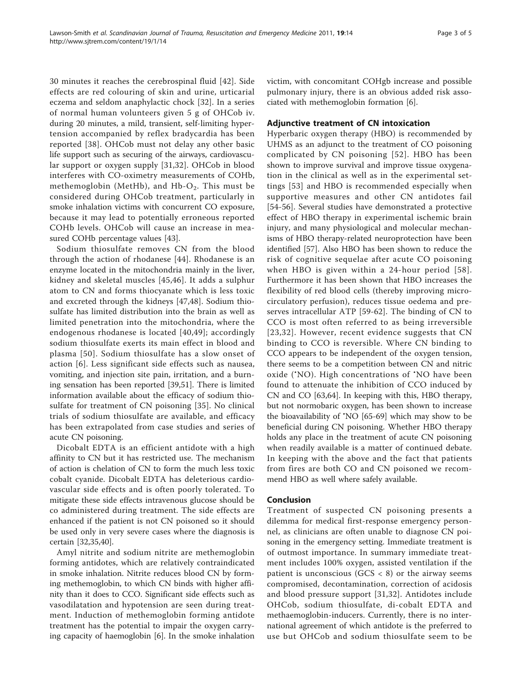30 minutes it reaches the cerebrospinal fluid [[42\]](#page-3-0). Side effects are red colouring of skin and urine, urticarial eczema and seldom anaphylactic chock [[32\]](#page-3-0). In a series of normal human volunteers given 5 g of OHCob iv. during 20 minutes, a mild, transient, self-limiting hypertension accompanied by reflex bradycardia has been reported [\[38](#page-3-0)]. OHCob must not delay any other basic life support such as securing of the airways, cardiovascular support or oxygen supply [[31](#page-3-0),[32\]](#page-3-0). OHCob in blood interferes with CO-oximetry measurements of COHb, methemoglobin (MetHb), and Hb- $O_2$ . This must be considered during OHCob treatment, particularly in smoke inhalation victims with concurrent CO exposure, because it may lead to potentially erroneous reported COHb levels. OHCob will cause an increase in measured COHb percentage values [[43](#page-3-0)].

Sodium thiosulfate removes CN from the blood through the action of rhodanese [[44](#page-3-0)]. Rhodanese is an enzyme located in the mitochondria mainly in the liver, kidney and skeletal muscles [[45](#page-4-0),[46](#page-4-0)]. It adds a sulphur atom to CN and forms thiocyanate which is less toxic and excreted through the kidneys [\[47](#page-4-0),[48\]](#page-4-0). Sodium thiosulfate has limited distribution into the brain as well as limited penetration into the mitochondria, where the endogenous rhodanese is located [\[40,](#page-3-0)[49](#page-4-0)]; accordingly sodium thiosulfate exerts its main effect in blood and plasma [[50\]](#page-4-0). Sodium thiosulfate has a slow onset of action [[6\]](#page-3-0). Less significant side effects such as nausea, vomiting, and injection site pain, irritation, and a burning sensation has been reported [\[39](#page-3-0)[,51](#page-4-0)]. There is limited information available about the efficacy of sodium thiosulfate for treatment of CN poisoning [\[35](#page-3-0)]. No clinical trials of sodium thiosulfate are available, and efficacy has been extrapolated from case studies and series of acute CN poisoning.

Dicobalt EDTA is an efficient antidote with a high affinity to CN but it has restricted use. The mechanism of action is chelation of CN to form the much less toxic cobalt cyanide. Dicobalt EDTA has deleterious cardiovascular side effects and is often poorly tolerated. To mitigate these side effects intravenous glucose should be co administered during treatment. The side effects are enhanced if the patient is not CN poisoned so it should be used only in very severe cases where the diagnosis is certain [[32,35,40](#page-3-0)].

Amyl nitrite and sodium nitrite are methemoglobin forming antidotes, which are relatively contraindicated in smoke inhalation. Nitrite reduces blood CN by forming methemoglobin, to which CN binds with higher affinity than it does to CCO. Significant side effects such as vasodilatation and hypotension are seen during treatment. Induction of methemoglobin forming antidote treatment has the potential to impair the oxygen carrying capacity of haemoglobin [[6\]](#page-3-0). In the smoke inhalation victim, with concomitant COHgb increase and possible pulmonary injury, there is an obvious added risk associated with methemoglobin formation [[6\]](#page-3-0).

# Adjunctive treatment of CN intoxication

Hyperbaric oxygen therapy (HBO) is recommended by UHMS as an adjunct to the treatment of CO poisoning complicated by CN poisoning [[52](#page-4-0)]. HBO has been shown to improve survival and improve tissue oxygenation in the clinical as well as in the experimental settings [[53](#page-4-0)] and HBO is recommended especially when supportive measures and other CN antidotes fail [[54](#page-4-0)-[56\]](#page-4-0). Several studies have demonstrated a protective effect of HBO therapy in experimental ischemic brain injury, and many physiological and molecular mechanisms of HBO therapy-related neuroprotection have been identified [[57](#page-4-0)]. Also HBO has been shown to reduce the risk of cognitive sequelae after acute CO poisoning when HBO is given within a 24-hour period [[58\]](#page-4-0). Furthermore it has been shown that HBO increases the flexibility of red blood cells (thereby improving microcirculatory perfusion), reduces tissue oedema and preserves intracellular ATP [\[59](#page-4-0)-[62\]](#page-4-0). The binding of CN to CCO is most often referred to as being irreversible [[23,32](#page-3-0)]. However, recent evidence suggests that CN binding to CCO is reversible. Where CN binding to CCO appears to be independent of the oxygen tension, there seems to be a competition between CN and nitric oxide ('NO). High concentrations of 'NO have been found to attenuate the inhibition of CCO induced by CN and CO [[63](#page-4-0),[64](#page-4-0)]. In keeping with this, HBO therapy, but not normobaric oxygen, has been shown to increase the bioavailability of • NO [[65-69\]](#page-4-0) which may show to be beneficial during CN poisoning. Whether HBO therapy holds any place in the treatment of acute CN poisoning when readily available is a matter of continued debate. In keeping with the above and the fact that patients from fires are both CO and CN poisoned we recommend HBO as well where safely available.

## Conclusion

Treatment of suspected CN poisoning presents a dilemma for medical first-response emergency personnel, as clinicians are often unable to diagnose CN poisoning in the emergency setting. Immediate treatment is of outmost importance. In summary immediate treatment includes 100% oxygen, assisted ventilation if the patient is unconscious ( $GCS < 8$ ) or the airway seems compromised, decontamination, correction of acidosis and blood pressure support [[31,32](#page-3-0)]. Antidotes include OHCob, sodium thiosulfate, di-cobalt EDTA and methaemoglobin-inducers. Currently, there is no international agreement of which antidote is the preferred to use but OHCob and sodium thiosulfate seem to be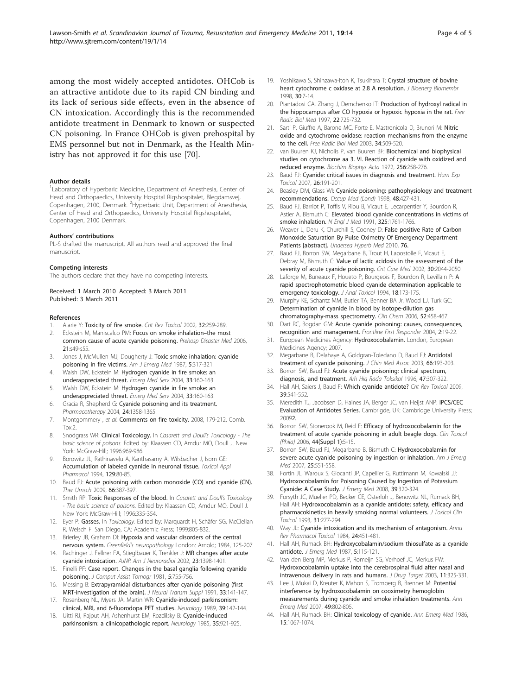<span id="page-3-0"></span>among the most widely accepted antidotes. OHCob is an attractive antidote due to its rapid CN binding and its lack of serious side effects, even in the absence of CN intoxication. Accordingly this is the recommended antidote treatment in Denmark to known or suspected CN poisoning. In France OHCob is given prehospital by EMS personnel but not in Denmark, as the Health Ministry has not approved it for this use [\[70](#page-4-0)].

#### Author details

<sup>1</sup> Laboratory of Hyperbaric Medicine, Department of Anesthesia, Center of Head and Orthopaedics, University Hospital Rigshospitalet, Blegdamsvej, Copenhagen, 2100, Denmark. <sup>2</sup>Hyperbaric Unit, Department of Anesthesia, Center of Head and Orthopaedics, University Hospital Rigshospitalet, Copenhagen, 2100 Denmark.

#### Authors' contributions

PL-S drafted the manuscript. All authors read and approved the final manuscript.

#### Competing interests

The authors declare that they have no competing interests.

Received: 1 March 2010 Accepted: 3 March 2011 Published: 3 March 2011

#### References

- 1. Alarie Y: [Toxicity of fire smoke.](http://www.ncbi.nlm.nih.gov/pubmed/12184505?dopt=Abstract) Crit Rev Toxicol 2002, 32:259-289.
- 2. Eckstein M, Maniscalco PM: [Focus on smoke inhalation](http://www.ncbi.nlm.nih.gov/pubmed/16771012?dopt=Abstract)-the most [common cause of acute cyanide poisoning.](http://www.ncbi.nlm.nih.gov/pubmed/16771012?dopt=Abstract) Prehosp Disaster Med 2006, 21:s49-s55.
- 3. Jones J, McMullen MJ, Dougherty J: [Toxic smoke inhalation: cyanide](http://www.ncbi.nlm.nih.gov/pubmed/3593498?dopt=Abstract) [poisoning in fire victims.](http://www.ncbi.nlm.nih.gov/pubmed/3593498?dopt=Abstract) Am J Emerg Med 1987, 5:317-321.
- 4. Walsh DW, Eckstein M: [Hydrogen cyanide in fire smoke: an](http://www.ncbi.nlm.nih.gov/pubmed/15553543?dopt=Abstract) [underappreciated threat.](http://www.ncbi.nlm.nih.gov/pubmed/15553543?dopt=Abstract) Emerg Med Serv 2004, 33:160-163.
- 5. Walsh DW, Eckstein M: [Hydrogen cyanide in fire smoke: an](http://www.ncbi.nlm.nih.gov/pubmed/15553543?dopt=Abstract) [underappreciated threat.](http://www.ncbi.nlm.nih.gov/pubmed/15553543?dopt=Abstract) Emerg Med Serv 2004, 33:160-163.
- 6. Gracia R, Shepherd G: [Cyanide poisoning and its treatment.](http://www.ncbi.nlm.nih.gov/pubmed/15628833?dopt=Abstract) Pharmacotherapy 2004, 24:1358-1365.
- 7. Montgommery , et al: Comments on fire toxicity. 2008, 179-212, Comb. Tox<sub>2</sub>
- 8. Snodgrass WR: Clinical Toxicology. In Casarett and Doull's Toxicology The basic science of poisons. Edited by: Klaassen CD, Amdur MO, Doull J. New York: McGraw-Hill; 1996:969-986.
- 9. Borowitz JL, Rathinavelu A, Kanthasamy A, Wilsbacher J, Isom GE: [Accumulation of labeled cyanide in neuronal tissue.](http://www.ncbi.nlm.nih.gov/pubmed/7974498?dopt=Abstract) Toxicol Appl Pharmacol 1994, 129:80-85.
- 10. Baud FJ: [Acute poisoning with carbon monoxide \(CO\) and cyanide \(CN\).](http://www.ncbi.nlm.nih.gov/pubmed/19401990?dopt=Abstract) Ther Umsch 2009, 66:387-397.
- 11. Smith RP: Toxic Responses of the blood. In Casarett and Doull's Toxicology - The basic science of poisons. Edited by: Klaassen CD, Amdur MO, Doull J. New York: McGraw-Hill; 1996:335-354.
- 12. Eyer P: Gasses. In Toxicology. Edited by: Marquardt H, Schäfer SG, McClellan R, Welsch F. San Diego, CA: Academic Press; 1999:805-832.
- 13. Brierley JB, Graham DI: Hypoxia and vascular disorders of the central nervous system. Greenfield's neuropathology London: Arnold; 1984, 125-207.
- 14. Rachinger J, Fellner FA, Stieglbauer K, Trenkler J: [MR changes after acute](http://www.ncbi.nlm.nih.gov/pubmed/12223384?dopt=Abstract) [cyanide intoxication.](http://www.ncbi.nlm.nih.gov/pubmed/12223384?dopt=Abstract) AJNR Am J Neuroradiol 2002, 23:1398-1401.
- 15. Finelli PF: [Case report. Changes in the basal ganglia following cyanide](http://www.ncbi.nlm.nih.gov/pubmed/7298952?dopt=Abstract) [poisoning.](http://www.ncbi.nlm.nih.gov/pubmed/7298952?dopt=Abstract) J Comput Assist Tomogr 1981, 5:755-756.
- 16. Messing B: [Extrapyramidal disturbances after cyanide poisoning \(first](http://www.ncbi.nlm.nih.gov/pubmed/1753244?dopt=Abstract) [MRT-investigation of the brain\).](http://www.ncbi.nlm.nih.gov/pubmed/1753244?dopt=Abstract) J Neural Transm Suppl 1991, 33:141-147.
- 17. Rosenberg NL, Myers JA, Martin WR: [Cyanide-induced parkinsonism:](http://www.ncbi.nlm.nih.gov/pubmed/2491915?dopt=Abstract) [clinical, MRI, and 6-fluorodopa PET studies.](http://www.ncbi.nlm.nih.gov/pubmed/2491915?dopt=Abstract) Neurology 1989, 39:142-144.
- 18. Uitti RJ, Rajput AH, Ashenhurst EM, Rozdilsky B: [Cyanide-induced](http://www.ncbi.nlm.nih.gov/pubmed/4000494?dopt=Abstract) [parkinsonism: a clinicopathologic report.](http://www.ncbi.nlm.nih.gov/pubmed/4000494?dopt=Abstract) Neurology 1985, 35:921-925.
- 19. Yoshikawa S, Shinzawa-Itoh K, Tsukihara T: [Crystal structure of bovine](http://www.ncbi.nlm.nih.gov/pubmed/9623800?dopt=Abstract) [heart cytochrome c oxidase at 2.8 A resolution.](http://www.ncbi.nlm.nih.gov/pubmed/9623800?dopt=Abstract) J Bioenerg Biomembr 1998, 30:7-14.
- 20. Piantadosi CA, Zhang J, Demchenko IT: [Production of hydroxyl radical in](http://www.ncbi.nlm.nih.gov/pubmed/9013136?dopt=Abstract) [the hippocampus after CO hypoxia or hypoxic hypoxia in the rat.](http://www.ncbi.nlm.nih.gov/pubmed/9013136?dopt=Abstract) Free Radic Biol Med 1997, 22:725-732.
- 21. Sarti P, Giuffre A, Barone MC, Forte E, Mastronicola D, Brunori M: [Nitric](http://www.ncbi.nlm.nih.gov/pubmed/12614840?dopt=Abstract) [oxide and cytochrome oxidase: reaction mechanisms from the enzyme](http://www.ncbi.nlm.nih.gov/pubmed/12614840?dopt=Abstract) [to the cell.](http://www.ncbi.nlm.nih.gov/pubmed/12614840?dopt=Abstract) Free Radic Biol Med 2003, 34:509-520.
- 22. van Buuren KJ, Nicholis P, van Buuren BF: [Biochemical and biophysical](http://www.ncbi.nlm.nih.gov/pubmed/4335837?dopt=Abstract) [studies on cytochrome aa 3. VI. Reaction of cyanide with oxidized and](http://www.ncbi.nlm.nih.gov/pubmed/4335837?dopt=Abstract) [reduced enzyme.](http://www.ncbi.nlm.nih.gov/pubmed/4335837?dopt=Abstract) Biochim Biophys Acta 1972, 256:258-276.
- 23. Baud FJ: [Cyanide: critical issues in diagnosis and treatment.](http://www.ncbi.nlm.nih.gov/pubmed/17439922?dopt=Abstract) Hum Exp Toxicol 2007, 26:191-201.
- 24. Beasley DM, Glass WI: [Cyanide poisoning: pathophysiology and treatment](http://www.ncbi.nlm.nih.gov/pubmed/10024740?dopt=Abstract) [recommendations.](http://www.ncbi.nlm.nih.gov/pubmed/10024740?dopt=Abstract) Occup Med (Lond) 1998, 48:427-431
- 25. Baud FJ, Barriot P, Toffis V, Riou B, Vicaut E, Lecarpentier Y, Bourdon R, Astier A, Bismuth C: [Elevated blood cyanide concentrations in victims of](http://www.ncbi.nlm.nih.gov/pubmed/1944484?dopt=Abstract) [smoke inhalation.](http://www.ncbi.nlm.nih.gov/pubmed/1944484?dopt=Abstract) N Engl J Med 1991, 325:1761-1766.
- 26. Weaver L, Deru K, Churchill S, Cooney D: False positive Rate of Carbon Monoxide Saturation By Pulse Oximetry Of Emergency Department Patients [abstract]. Undersea Hyperb Med 2010, 76.
- 27. Baud FJ, Borron SW, Megarbane B, Trout H, Lapostolle F, Vicaut E, Debray M, Bismuth C: [Value of lactic acidosis in the assessment of the](http://www.ncbi.nlm.nih.gov/pubmed/12352039?dopt=Abstract) [severity of acute cyanide poisoning.](http://www.ncbi.nlm.nih.gov/pubmed/12352039?dopt=Abstract) Crit Care Med 2002, 30:2044-2050.
- 28. Laforge M, Buneaux F, Houeto P, Bourgeois F, Bourdon R, Levillain P: [A](http://www.ncbi.nlm.nih.gov/pubmed/8065128?dopt=Abstract) [rapid spectrophotometric blood cyanide determination applicable to](http://www.ncbi.nlm.nih.gov/pubmed/8065128?dopt=Abstract) [emergency toxicology.](http://www.ncbi.nlm.nih.gov/pubmed/8065128?dopt=Abstract) J Anal Toxicol 1994, 18:173-175.
- 29. Murphy KE, Schantz MM, Butler TA, Benner BA Jr, Wood LJ, Turk GC: [Determination of cyanide in blood by isotope-dilution gas](http://www.ncbi.nlm.nih.gov/pubmed/16439606?dopt=Abstract) [chromatography-mass spectrometry.](http://www.ncbi.nlm.nih.gov/pubmed/16439606?dopt=Abstract) Clin Chem 2006, 52:458-467.
- 30. Dart RC, Bogdan GM: Acute cyanide poisoning: causes, consequences, recognition and management. Frontline First Responder 2004, 2:19-22.
- 31. European Medicines Agency: Hydroxocobalamin. London, European Medicines Agency; 2007.
- 32. Megarbane B, Delahaye A, Goldgran-Toledano D, Baud FJ: [Antidotal](http://www.ncbi.nlm.nih.gov/pubmed/12854870?dopt=Abstract) [treatment of cyanide poisoning.](http://www.ncbi.nlm.nih.gov/pubmed/12854870?dopt=Abstract) J Chin Med Assoc 2003, 66:193-203.
- 33. Borron SW, Baud FJ: [Acute cyanide poisoning: clinical spectrum,](http://www.ncbi.nlm.nih.gov/pubmed/8989894?dopt=Abstract) [diagnosis, and treatment.](http://www.ncbi.nlm.nih.gov/pubmed/8989894?dopt=Abstract) Arh Hig Rada Toksikol 1996, 47:307-322.
- 34. Hall AH, Saiers J, Baud F: [Which cyanide antidote?](http://www.ncbi.nlm.nih.gov/pubmed/19650716?dopt=Abstract) Crit Rev Toxicol 2009, 39:541-552.
- 35. Meredith TJ, Jacobsen D, Haines JA, Berger JC, van Heijst ANP: IPCS/CEC Evaluation of Antidotes Series. Cambrigde, UK: Cambridge University Press; 20092.
- 36. Borron SW, Stonerook M, Reid F: [Efficacy of hydroxocobalamin for the](http://www.ncbi.nlm.nih.gov/pubmed/16990189?dopt=Abstract) [treatment of acute cyanide poisoning in adult beagle dogs.](http://www.ncbi.nlm.nih.gov/pubmed/16990189?dopt=Abstract) Clin Toxicol (Phila) 2006, 44(Suppl 1):5-15.
- 37. Borron SW, Baud FJ, Megarbane B, Bismuth C: [Hydroxocobalamin for](http://www.ncbi.nlm.nih.gov/pubmed/17543660?dopt=Abstract) [severe acute cyanide poisoning by ingestion or inhalation.](http://www.ncbi.nlm.nih.gov/pubmed/17543660?dopt=Abstract) Am J Emerg Med 2007, 25:551-558.
- 38. Fortin JL, Waroux S, Giocanti JP, Capellier G, Ruttimann M, Kowalski JJ: [Hydroxocobalamin for Poisoning Caused by Ingestion of Potassium](http://www.ncbi.nlm.nih.gov/pubmed/18554843?dopt=Abstract) [Cyanide: A Case Study.](http://www.ncbi.nlm.nih.gov/pubmed/18554843?dopt=Abstract) J Emerg Med 2008, 39:320-324.
- 39. Forsyth JC, Mueller PD, Becker CE, Osterloh J, Benowitz NL, Rumack BH, Hall AH: [Hydroxocobalamin as a cyanide antidote: safety, efficacy and](http://www.ncbi.nlm.nih.gov/pubmed/8492341?dopt=Abstract) [pharmacokinetics in heavily smoking normal volunteers.](http://www.ncbi.nlm.nih.gov/pubmed/8492341?dopt=Abstract) J Toxicol Clin Toxicol 1993, 31:277-294.
- 40. Way JL: [Cyanide intoxication and its mechanism of antagonism.](http://www.ncbi.nlm.nih.gov/pubmed/6428300?dopt=Abstract) Annu Rev Pharmacol Toxicol 1984, 24:451-481.
- 41. Hall AH, Rumack BH: [Hydroxycobalamin/sodium thiosulfate as a cyanide](http://www.ncbi.nlm.nih.gov/pubmed/3295013?dopt=Abstract) [antidote.](http://www.ncbi.nlm.nih.gov/pubmed/3295013?dopt=Abstract) J Emerg Med 1987, 5:115-121.
- 42. Van den Berg MP, Merkus P, Romeijn SG, Verhoef JC, Merkus FW: [Hydroxocobalamin uptake into the cerebrospinal fluid after nasal and](http://www.ncbi.nlm.nih.gov/pubmed/14668053?dopt=Abstract) [intravenous delivery in rats and humans.](http://www.ncbi.nlm.nih.gov/pubmed/14668053?dopt=Abstract) J Drug Target 2003, 11:325-331.
- 43. Lee J, Mukai D, Kreuter K, Mahon S, Tromberg B, Brenner M: [Potential](http://www.ncbi.nlm.nih.gov/pubmed/17210205?dopt=Abstract) [interference by hydroxocobalamin on cooximetry hemoglobin](http://www.ncbi.nlm.nih.gov/pubmed/17210205?dopt=Abstract) [measurements during cyanide and smoke inhalation treatments.](http://www.ncbi.nlm.nih.gov/pubmed/17210205?dopt=Abstract) Ann Emerg Med 2007, 49:802-805.
- 44. Hall AH, Rumack BH: [Clinical toxicology of cyanide.](http://www.ncbi.nlm.nih.gov/pubmed/3526995?dopt=Abstract) Ann Emerg Med 1986, 15:1067-1074.